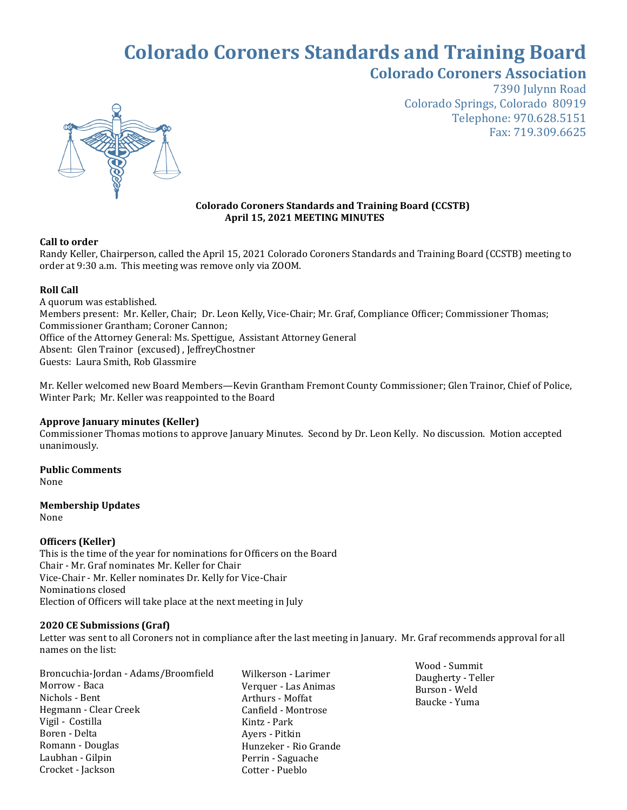# **Colorado Coroners Standards and Training Board Colorado Coroners Association**



7390 Julynn Road Colorado Springs, Colorado 80919 Telephone: 970.628.5151 Fax: 719.309.6625

#### **Colorado Coroners Standards and Training Board (CCSTB) April 15, 2021 MEETING MINUTES**

## **Call to order**

Randy Keller, Chairperson, called the April 15, 2021 Colorado Coroners Standards and Training Board (CCSTB) meeting to order at 9:30 a.m. This meeting was remove only via ZOOM.

## **Roll Call**

A quorum was established. Members present: Mr. Keller, Chair; Dr. Leon Kelly, Vice-Chair; Mr. Graf, Compliance Officer; Commissioner Thomas; Commissioner Grantham; Coroner Cannon; Office of the Attorney General: Ms. Spettigue, Assistant Attorney General Absent: Glen Trainor (excused) , JeffreyChostner Guests: Laura Smith, Rob Glassmire

Mr. Keller welcomed new Board Members—Kevin Grantham Fremont County Commissioner; Glen Trainor, Chief of Police, Winter Park; Mr. Keller was reappointed to the Board

## **Approve January minutes (Keller)**

Commissioner Thomas motions to approve January Minutes. Second by Dr. Leon Kelly. No discussion. Motion accepted unanimously.

**Public Comments**  None

#### **Membership Updates** None

## **Officers (Keller)**

This is the time of the year for nominations for Officers on the Board Chair - Mr. Graf nominates Mr. Keller for Chair Vice-Chair - Mr. Keller nominates Dr. Kelly for Vice-Chair Nominations closed Election of Officers will take place at the next meeting in July

#### **2020 CE Submissions (Graf)**

Letter was sent to all Coroners not in compliance after the last meeting in January. Mr. Graf recommends approval for all names on the list:

Broncuchia-Jordan - Adams/Broomfield Morrow - Baca Nichols - Bent Hegmann - Clear Creek Vigil - Costilla Boren - Delta Romann - Douglas Laubhan - Gilpin Crocket - Jackson

Wilkerson - Larimer Verquer - Las Animas Arthurs - Moffat Canfield - Montrose Kintz - Park Ayers - Pitkin Hunzeker - Rio Grande Perrin - Saguache Cotter - Pueblo

Wood - Summit Daugherty - Teller Burson - Weld Baucke - Yuma